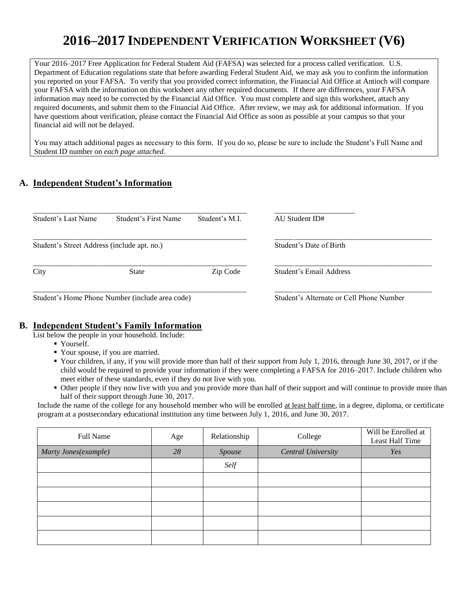# **2016–2017 INDEPENDENT VERIFICATION WORKSHEET (V6)**

Your 2016–2017 Free Application for Federal Student Aid (FAFSA) was selected for a process called verification. U.S. Department of Education regulations state that before awarding Federal Student Aid, we may ask you to confirm the information you reported on your FAFSA. To verify that you provided correct information, the Financial Aid Office at Antioch will compare your FAFSA with the information on this worksheet any other required documents. If there are differences, your FAFSA information may need to be corrected by the Financial Aid Office. You must complete and sign this worksheet, attach any required documents, and submit them to the Financial Aid Office. After review, we may ask for additional information. If you have questions about verification, please contact the Financial Aid Office as soon as possible at your campus so that your financial aid will not be delayed.

You may attach additional pages as necessary to this form. If you do so, please be sure to include the Student's Full Name and Student ID number on *each page attached.*

# **A. Independent Student's Information**

| Student's Last Name                         | Student's First Name                            | Student's M.I. | AU Student ID#                           |
|---------------------------------------------|-------------------------------------------------|----------------|------------------------------------------|
| Student's Street Address (include apt. no.) |                                                 |                | Student's Date of Birth                  |
| City                                        | State                                           | Zip Code       | Student's Email Address                  |
|                                             | Student's Home Phone Number (include area code) |                | Student's Alternate or Cell Phone Number |

#### **B. Independent Student's Family Information**

List below the people in your household. Include:

- Yourself.
- Your spouse, if you are married.
- Your children, if any, if you will provide more than half of their support from July 1, 2016, through June 30, 2017, or if the child would be required to provide your information if they were completing a FAFSA for 2016–2017. Include children who meet either of these standards, even if they do not live with you.
- Other people if they now live with you and you provide more than half of their support and will continue to provide more than half of their support through June 30, 2017.

Include the name of the college for any household member who will be enrolled at least half time, in a degree, diploma, or certificate program at a postsecondary educational institution any time between July 1, 2016, and June 30, 2017.

| Full Name            | Age | Relationship | College                   | Will be Enrolled at<br>Least Half Time |
|----------------------|-----|--------------|---------------------------|----------------------------------------|
| Marty Jones(example) | 28  | Spouse       | <b>Central University</b> | Yes                                    |
|                      |     | Self         |                           |                                        |
|                      |     |              |                           |                                        |
|                      |     |              |                           |                                        |
|                      |     |              |                           |                                        |
|                      |     |              |                           |                                        |
|                      |     |              |                           |                                        |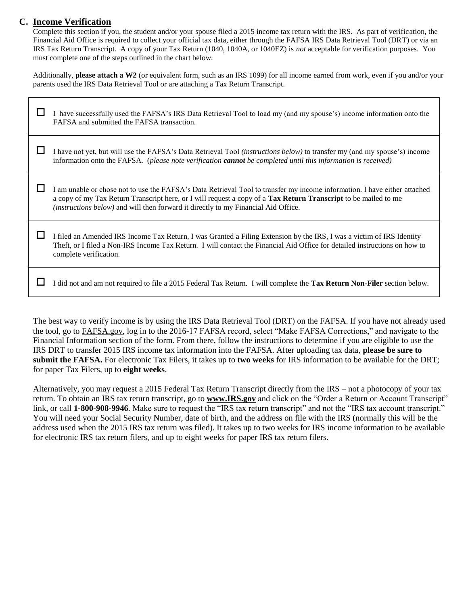## **C. Income Verification**

Complete this section if you, the student and/or your spouse filed a 2015 income tax return with the IRS. As part of verification, the Financial Aid Office is required to collect your official tax data, either through the FAFSA IRS Data Retrieval Tool (DRT) or via an IRS Tax Return Transcript. A copy of your Tax Return (1040, 1040A, or 1040EZ) is *not* acceptable for verification purposes. You must complete one of the steps outlined in the chart below.

Additionally, **please attach a W2** (or equivalent form, such as an IRS 1099) for all income earned from work, even if you and/or your parents used the IRS Data Retrieval Tool or are attaching a Tax Return Transcript.

| I have successfully used the FAFSA's IRS Data Retrieval Tool to load my (and my spouse's) income information onto the<br>FAFSA and submitted the FAFSA transaction.                                                                                                                                                                       |
|-------------------------------------------------------------------------------------------------------------------------------------------------------------------------------------------------------------------------------------------------------------------------------------------------------------------------------------------|
| I have not yet, but will use the FAFSA's Data Retrieval Tool <i>(instructions below)</i> to transfer my (and my spouse's) income<br>information onto the FAFSA. (please note verification <b>cannot</b> be completed until this information is received)                                                                                  |
| I am unable or chose not to use the FAFSA's Data Retrieval Tool to transfer my income information. I have either attached<br>a copy of my Tax Return Transcript here, or I will request a copy of a Tax Return Transcript to be mailed to me<br><i>(instructions below)</i> and will then forward it directly to my Financial Aid Office. |
| I filed an Amended IRS Income Tax Return, I was Granted a Filing Extension by the IRS, I was a victim of IRS Identity<br>Theft, or I filed a Non-IRS Income Tax Return. I will contact the Financial Aid Office for detailed instructions on how to<br>complete verification.                                                             |
| I did not and am not required to file a 2015 Federal Tax Return. I will complete the Tax Return Non-Filer section below.                                                                                                                                                                                                                  |

The best way to verify income is by using the IRS Data Retrieval Tool (DRT) on the FAFSA. If you have not already used the tool, go to FAFSA.gov, log in to the 2016-17 FAFSA record, select "Make FAFSA Corrections," and navigate to the Financial Information section of the form. From there, follow the instructions to determine if you are eligible to use the IRS DRT to transfer 2015 IRS income tax information into the FAFSA. After uploading tax data, **please be sure to submit the FAFSA.** For electronic Tax Filers, it takes up to **two weeks** for IRS information to be available for the DRT; for paper Tax Filers, up to **eight weeks**.

Alternatively, you may request a 2015 Federal Tax Return Transcript directly from the IRS – not a photocopy of your tax return. To obtain an IRS tax return transcript, go to **www.IRS.gov** and click on the "Order a Return or Account Transcript" link, or call **1-800-908-9946**. Make sure to request the "IRS tax return transcript" and not the "IRS tax account transcript." You will need your Social Security Number, date of birth, and the address on file with the IRS (normally this will be the address used when the 2015 IRS tax return was filed). It takes up to two weeks for IRS income information to be available for electronic IRS tax return filers, and up to eight weeks for paper IRS tax return filers.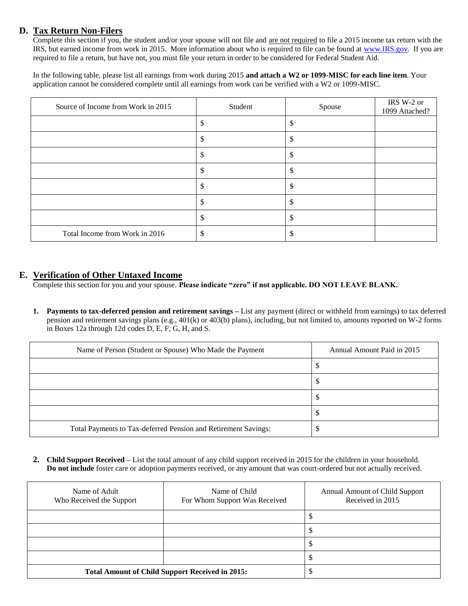## **D. Tax Return Non-Filers**

Complete this section if you, the student and/or your spouse will not file and are not required to file a 2015 income tax return with the IRS, but earned income from work in 2015. More information about who is required to file can be found at [www.IRS.gov.](http://www.irs.gov/) If you are required to file a return, but have not, you must file your return in order to be considered for Federal Student Aid.

In the following table, please list all earnings from work during 2015 **and attach a W2 or 1099-MISC for each line item**. Your application cannot be considered complete until all earnings from work can be verified with a W2 or 1099-MISC.

| Source of Income from Work in 2015 | Student | Spouse | IRS W-2 or<br>1099 Attached? |
|------------------------------------|---------|--------|------------------------------|
|                                    |         |        |                              |
|                                    |         |        |                              |
|                                    |         |        |                              |
|                                    |         |        |                              |
|                                    |         |        |                              |
|                                    | л       |        |                              |
|                                    |         |        |                              |
| Total Income from Work in 2016     |         |        |                              |

### **E. Verification of Other Untaxed Income**

Complete this section for you and your spouse. **Please indicate "zero" if not applicable. DO NOT LEAVE BLANK.** 

**1. Payments to tax-deferred pension and retirement savings –** List any payment (direct or withheld from earnings) to tax deferred pension and retirement savings plans (e.g., 401(k) or 403(b) plans), including, but not limited to, amounts reported on W-2 forms in Boxes 12a through 12d codes D, E, F, G, H, and S.

| Name of Person (Student or Spouse) Who Made the Payment        | Annual Amount Paid in 2015 |
|----------------------------------------------------------------|----------------------------|
|                                                                | ٠L                         |
|                                                                | ٠L                         |
|                                                                |                            |
|                                                                | ۰U                         |
| Total Payments to Tax-deferred Pension and Retirement Savings: |                            |

**2. Child Support Received –** List the total amount of any child support received in 2015 for the children in your household. **Do not include** foster care or adoption payments received, or any amount that was court-ordered but not actually received.

| Name of Adult<br>Who Received the Support | Name of Child<br>For Whom Support Was Received         | <b>Annual Amount of Child Support</b><br>Received in 2015 |
|-------------------------------------------|--------------------------------------------------------|-----------------------------------------------------------|
|                                           |                                                        |                                                           |
|                                           |                                                        |                                                           |
|                                           |                                                        | ٨D                                                        |
|                                           |                                                        |                                                           |
|                                           | <b>Total Amount of Child Support Received in 2015:</b> |                                                           |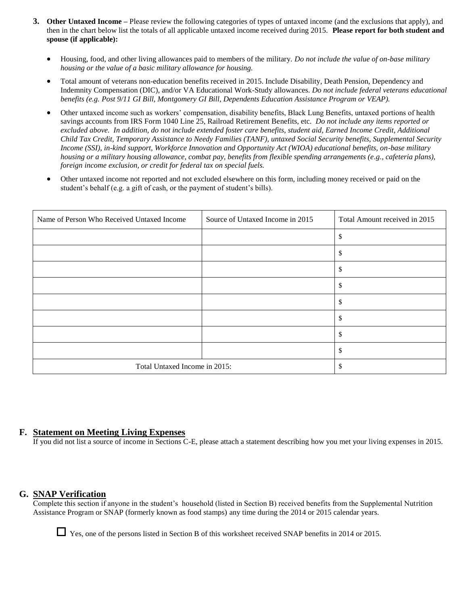- **3. Other Untaxed Income –** Please review the following categories of types of untaxed income (and the exclusions that apply), and then in the chart below list the totals of all applicable untaxed income received during 2015. **Please report for both student and spouse (if applicable):** 
	- Housing, food, and other living allowances paid to members of the military. *Do not include the value of on-base military housing or the value of a basic military allowance for housing.*
	- Total amount of veterans non-education benefits received in 2015. Include Disability, Death Pension, Dependency and Indemnity Compensation (DIC), and/or VA Educational Work-Study allowances. *Do not include federal veterans educational benefits (e.g. Post 9/11 GI Bill, Montgomery GI Bill, Dependents Education Assistance Program or VEAP).*
	- Other untaxed income such as workers' compensation, disability benefits, Black Lung Benefits, untaxed portions of health savings accounts from IRS Form 1040 Line 25, Railroad Retirement Benefits, etc. *Do not include any items reported or excluded above. In addition, do not include extended foster care benefits, student aid, Earned Income Credit, Additional Child Tax Credit, Temporary Assistance to Needy Families (TANF), untaxed Social Security benefits, Supplemental Security Income (SSI), in-kind support, Workforce Innovation and Opportunity Act (WIOA) educational benefits, on-base military housing or a military housing allowance, combat pay, benefits from flexible spending arrangements (e.g., cafeteria plans), foreign income exclusion, or credit for federal tax on special fuels.*
	- Other untaxed income not reported and not excluded elsewhere on this form, including money received or paid on the student's behalf (e.g. a gift of cash, or the payment of student's bills).

| Name of Person Who Received Untaxed Income | Source of Untaxed Income in 2015 | Total Amount received in 2015 |
|--------------------------------------------|----------------------------------|-------------------------------|
|                                            |                                  | \$                            |
|                                            |                                  | \$                            |
|                                            |                                  | S                             |
|                                            |                                  | \$                            |
|                                            |                                  | S                             |
|                                            |                                  | S                             |
|                                            |                                  | \$                            |
|                                            |                                  | S                             |
| Total Untaxed Income in 2015:              |                                  | S                             |

#### **F. Statement on Meeting Living Expenses**

If you did not list a source of income in Sections C-E, please attach a statement describing how you met your living expenses in 2015.

## **G. SNAP Verification**

Complete this section if anyone in the student's household (listed in Section B) received benefits from the Supplemental Nutrition Assistance Program or SNAP (formerly known as food stamps) any time during the 2014 or 2015 calendar years.

Yes, one of the persons listed in Section B of this worksheet received SNAP benefits in 2014 or 2015.